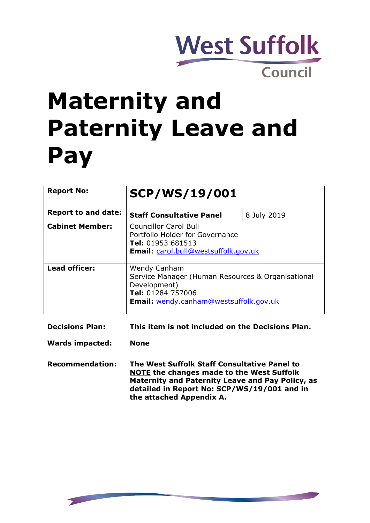

# **Maternity and Paternity Leave and Pay**

| <b>Report No:</b>          | <b>SCP/WS/19/001</b>                                                                                                                                           |             |
|----------------------------|----------------------------------------------------------------------------------------------------------------------------------------------------------------|-------------|
| <b>Report to and date:</b> | <b>Staff Consultative Panel</b>                                                                                                                                | 8 July 2019 |
| <b>Cabinet Member:</b>     | Councillor Carol Bull<br>Portfolio Holder for Governance<br><b>Tel:</b> 01953 681513<br><b>Email:</b> carol.bull@westsuffolk.gov.uk                            |             |
| <b>Lead officer:</b>       | <b>Wendy Canham</b><br>Service Manager (Human Resources & Organisational<br>Development)<br>Tel: 01284 757006<br><b>Email:</b> wendy.canham@westsuffolk.gov.uk |             |

**Decisions Plan: This item is not included on the Decisions Plan.**

**Wards impacted: None**

**Recommendation: The West Suffolk Staff Consultative Panel to NOTE the changes made to the West Suffolk Maternity and Paternity Leave and Pay Policy, as detailed in Report No: SCP/WS/19/001 and in the attached Appendix A.**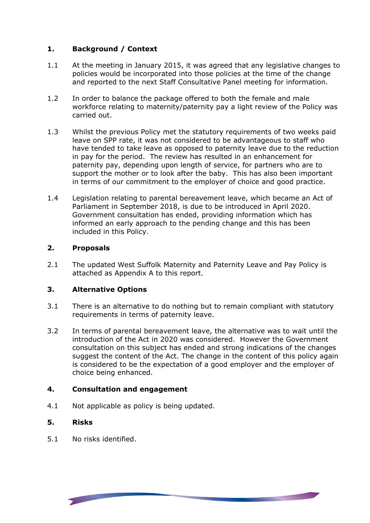#### **1. Background / Context**

- 1.1 At the meeting in January 2015, it was agreed that any legislative changes to policies would be incorporated into those policies at the time of the change and reported to the next Staff Consultative Panel meeting for information.
- 1.2 In order to balance the package offered to both the female and male workforce relating to maternity/paternity pay a light review of the Policy was carried out.
- 1.3 Whilst the previous Policy met the statutory requirements of two weeks paid leave on SPP rate, it was not considered to be advantageous to staff who have tended to take leave as opposed to paternity leave due to the reduction in pay for the period. The review has resulted in an enhancement for paternity pay, depending upon length of service, for partners who are to support the mother or to look after the baby. This has also been important in terms of our commitment to the employer of choice and good practice.
- 1.4 Legislation relating to parental bereavement leave, which became an Act of Parliament in September 2018, is due to be introduced in April 2020. Government consultation has ended, providing information which has informed an early approach to the pending change and this has been included in this Policy.

# **2. Proposals**

2.1 The updated West Suffolk Maternity and Paternity Leave and Pay Policy is attached as Appendix A to this report.

#### **3. Alternative Options**

- 3.1 There is an alternative to do nothing but to remain compliant with statutory requirements in terms of paternity leave.
- 3.2 In terms of parental bereavement leave, the alternative was to wait until the introduction of the Act in 2020 was considered. However the Government consultation on this subject has ended and strong indications of the changes suggest the content of the Act. The change in the content of this policy again is considered to be the expectation of a good employer and the employer of choice being enhanced.

**Contract Contract Contract Contract Contract Contract Contract Contract Contract Contract Contract Contract Contract Contract Contract Contract Contract Contract Contract Contract Contract Contract Contract Contract Contr** 

#### **4. Consultation and engagement**

4.1 Not applicable as policy is being updated.

#### **5. Risks**

5.1 No risks identified.